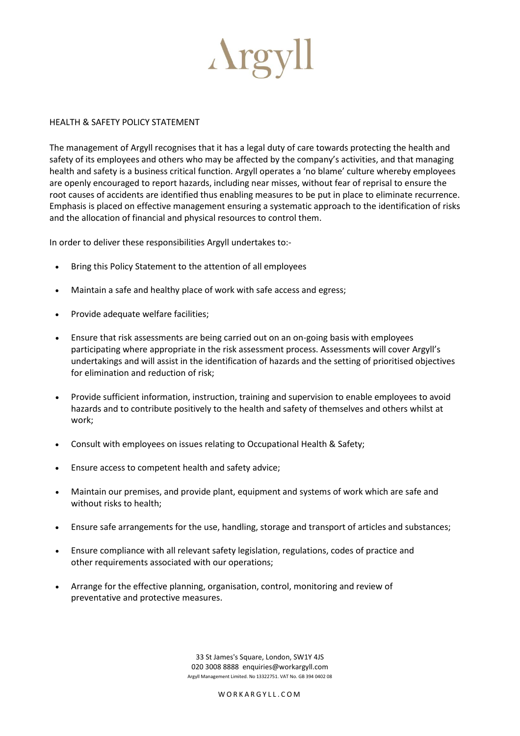

## HEALTH & SAFETY POLICY STATEMENT

The management of Argyll recognises that it has a legal duty of care towards protecting the health and safety of its employees and others who may be affected by the company's activities, and that managing health and safety is a business critical function. Argyll operates a 'no blame' culture whereby employees are openly encouraged to report hazards, including near misses, without fear of reprisal to ensure the root causes of accidents are identified thus enabling measures to be put in place to eliminate recurrence. Emphasis is placed on effective management ensuring a systematic approach to the identification of risks and the allocation of financial and physical resources to control them.

In order to deliver these responsibilities Argyll undertakes to:-

- Bring this Policy Statement to the attention of all employees
- Maintain a safe and healthy place of work with safe access and egress;
- Provide adequate welfare facilities;
- Ensure that risk assessments are being carried out on an on-going basis with employees participating where appropriate in the risk assessment process. Assessments will cover Argyll's undertakings and will assist in the identification of hazards and the setting of prioritised objectives for elimination and reduction of risk;
- Provide sufficient information, instruction, training and supervision to enable employees to avoid hazards and to contribute positively to the health and safety of themselves and others whilst at work;
- Consult with employees on issues relating to Occupational Health & Safety;
- Ensure access to competent health and safety advice;
- Maintain our premises, and provide plant, equipment and systems of work which are safe and without risks to health;
- Ensure safe arrangements for the use, handling, storage and transport of articles and substances;
- Ensure compliance with all relevant safety legislation, regulations, codes of practice and other requirements associated with our operations;
- Arrange for the effective planning, organisation, control, monitoring and review of preventative and protective measures.

33 St James's Square, London, SW1Y 4JS 020 3008 8888 enquiries@workargyll.com Argyll Management Limited. No 13322751. VAT No. GB 394 0402 08

W ORKARGYLL.COM